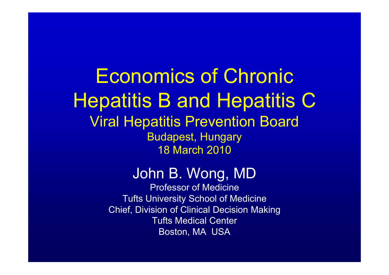Economics of Chronic Hepatitis B and Hepatitis C Viral Hepatitis Prevention Board Budapest, Hungary 18 March 2010

#### John B. Wong, MD

Professor of Medicine Tufts University School of Medicine Chief, Division of Clinical Decision Making Tufts Medical Center Boston, MA USA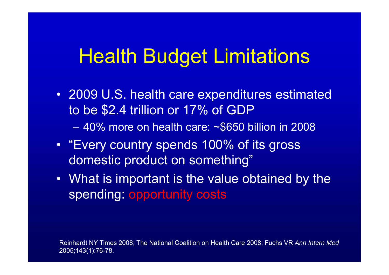## Health Budget Limitations

- 2009 U.S. health care expenditures estimated to be \$2.4 trillion or 17% of GDP
	- 40% more on health care: ~\$650 billion in 2008
- "Every country spends 100% of its gross domestic product on something"
- What is important is the value obtained by the spending: opportunity costs

Reinhardt NY Times 2008; The National Coalition on Health Care 2008; Fuchs VR *Ann Intern Med* 2005;143(1):76-78.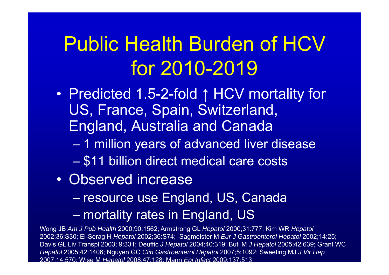# Public Health Burden of HCV for 2010-2019

- Predicted 1.5-2-fold ↑ HCV mortality for US, France, Spain, Switzerland, England, Australia and Canada
	- 1 million years of advanced liver disease
	- \$11 billion direct medical care costs
- Observed increase
	- resource use England, US, Canada
	- mortality rates in England, US

Wong JB *Am J Pub Health* 2000;90:1562; Armstrong GL *Hepatol* 2000;31:777; Kim WR *Hepatol* 2002;36:S30; El-Serag H *Hepatol* 2002;36:S74; Sagmeister M *Eur J Gastroenterol Hepatol* 2002;14:25; Davis GL Liv Transpl 2003; 9:331; Deuffic *J Hepatol* 2004;40:319; Buti M *J Hepatol* 2005;42:639; Grant WC *Hepatol* 2005;42:1406; Nguyen GC *Clin Gastroenterol Hepatol* 2007;5:1092; Sweeting MJ *J Vir Hep* 2007;14:570; Wise M *Hepatol* 2008;47:128; Mann *Epi Infect* 2009;137:513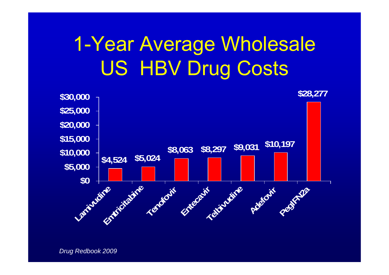# 1-Year Average Wholesale US HBV Drug Costs

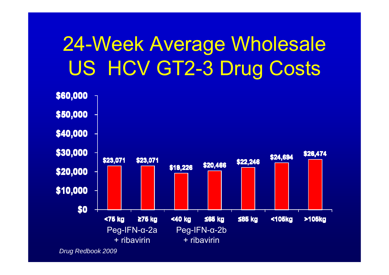# 24-Week Average Wholesale US HCV GT2-3 Drug Costs



*Drug Redbook 2009*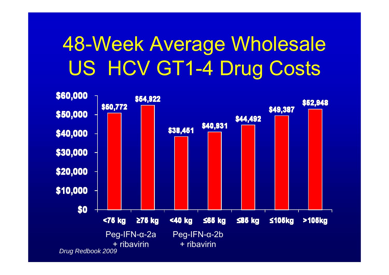# 48-Week Average Wholesale US HCV GT1-4 Drug Costs

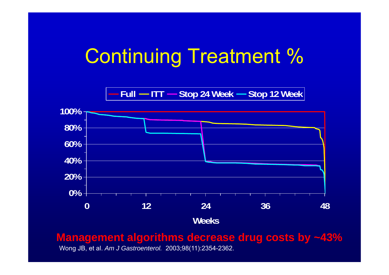### Continuing Treatment %

**Full ITT Stop 24 Week Stop 12 Week**



**Management algorithms decrease drug costs by ~43%**

Wong JB, et al. *Am J Gastroenterol.* 2003;98(11):2354-2362.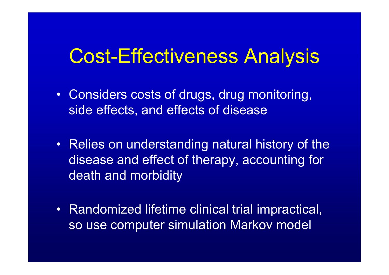### Cost-Effectiveness Analysis

- Considers costs of drugs, drug monitoring, side effects, and effects of disease
- Relies on understanding natural history of the disease and effect of therapy, accounting for death and morbidity
- Randomized lifetime clinical trial impractical, so use computer simulation Markov model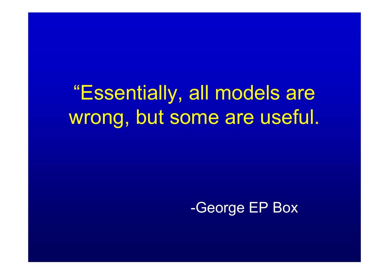"Essentially, all models are wrong, but some are useful.

-George EP Box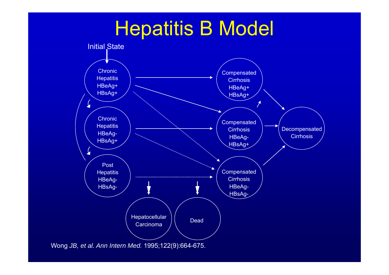### Hepatitis B Model



Wong *JB, et al. Ann Intern Med.* 1995;122(9):664-675.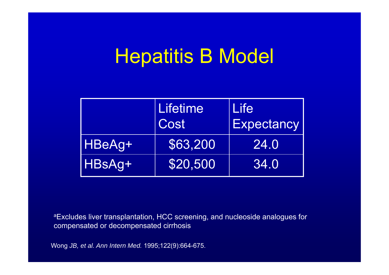### Hepatitis B Model

|        | <b>Lifetime</b><br>Cost | <b>Life</b><br><b>Expectancy</b> |
|--------|-------------------------|----------------------------------|
| HBeAg+ | \$63,200                | 24.0                             |
| HBsAg+ | \$20,500                | 34.0                             |

aExcludes liver transplantation, HCC screening, and nucleoside analogues for compensated or decompensated cirrhosis

Wong *JB, et al. Ann Intern Med.* 1995;122(9):664-675.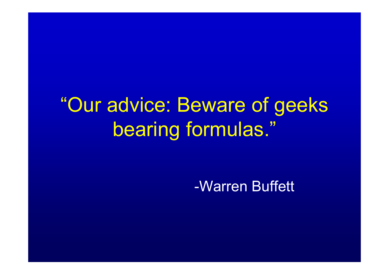# "Our advice: Beware of geeks bearing formulas."

-Warren Buffett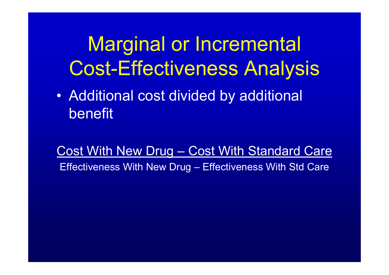# Marginal or Incremental Cost-Effectiveness Analysis

• Additional cost divided by additional benefit

Cost With New Drug – Cost With Standard Care Effectiveness With New Drug – Effectiveness With Std Care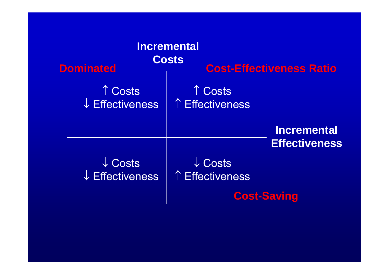| <b>Incremental</b><br><b>Costs</b><br><b>Cost-Effectiveness Ratio</b><br><b>Dominated</b> |                                          |                                            |
|-------------------------------------------------------------------------------------------|------------------------------------------|--------------------------------------------|
| ↑ Costs<br>↓ Effectiveness                                                                | ↑ Costs<br>↑ Effectiveness               |                                            |
|                                                                                           |                                          | <b>Incremental</b><br><b>Effectiveness</b> |
| $\downarrow$ Costs<br>$\downarrow$ Effectiveness                                          | $\sqrt{\text{Costs}}$<br>↑ Effectiveness |                                            |
|                                                                                           | <b>Cost-Saving</b>                       |                                            |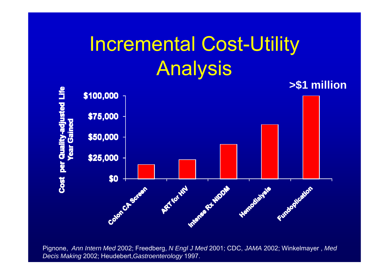# Incremental Cost-Utility Analysis



Pignone, *Ann Intern Med* 2002; Freedberg, *N Engl J Med* 2001; CDC, *JAMA* 2002; Winkelmayer , *Med Decis Making* 2002; Heudebert,*Gastroenterology* 1997.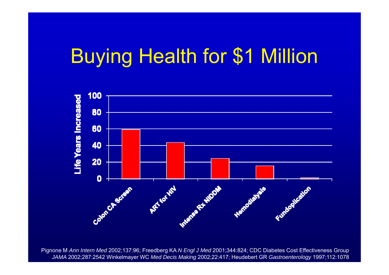### Buying Health for \$1 Million



Pignone M *Ann Intern Med* 2002;137:96; Freedberg KA *N Engl J Med* 2001;344:824; CDC Diabetes Cost Effectiveness Group *JAMA* 2002;287:2542 Winkelmayer WC *Med Decis Making* 2002;22:417; Heudebert GR *Gastroenterology* 1997;112:1078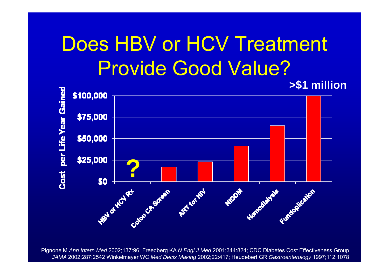# Does HBV or HCV Treatment Provide Good Value?



Pignone M *Ann Intern Med* 2002;137:96; Freedberg KA *N Engl J Med* 2001;344:824; CDC Diabetes Cost Effectiveness Group *JAMA* 2002;287:2542 Winkelmayer WC *Med Decis Making* 2002;22:417; Heudebert GR *Gastroenterology* 1997;112:1078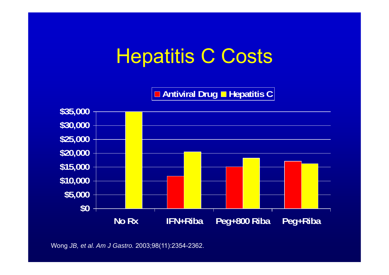### Hepatitis C Costs

**Antiviral Drug Hepatitis C**



Wong *JB, et al. Am J Gastro.* 2003;98(11):2354-2362.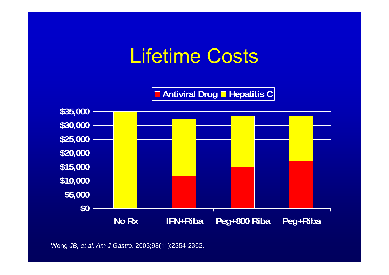### Lifetime Costs

**Antiviral Drug Hepatitis C**



Wong *JB, et al. Am J Gastro.* 2003;98(11):2354-2362.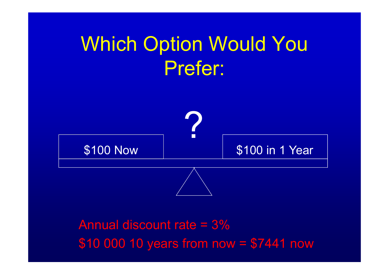# Which Option Would You Prefer:



Annual discount rate = 3%\$10 000 10 years from now = \$7441 now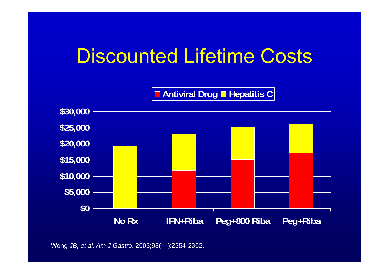### Discounted Lifetime Costs

**Antiviral Drug Hepatitis C**



Wong *JB, et al. Am J Gastro.* 2003;98(11):2354-2362.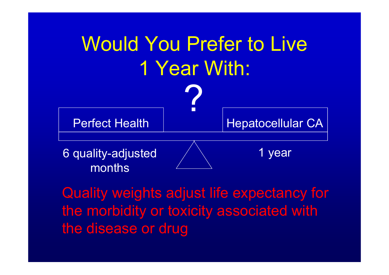

Quality weights adjust life expectancy for the morbidity or toxicity associated with the disease or drug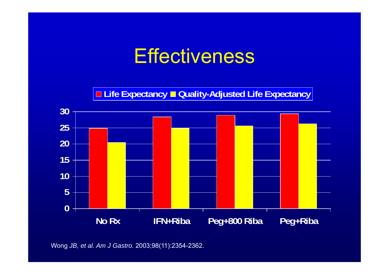### Effectiveness

**Life Expectancy Quality-Adjusted Life Expectancy**



Wong *JB, et al. Am J Gastro.* 2003;98(11):2354-2362.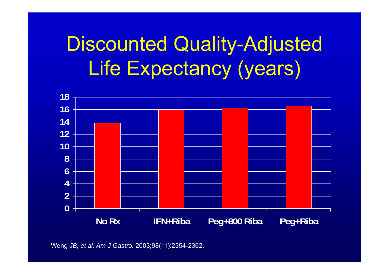# Discounted Quality-Adjusted Life Expectancy (years)



Wong *JB, et al. Am J Gastro.* 2003;98(11):2354-2362.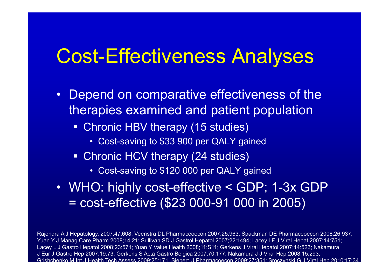### Cost-Effectiveness Analyses

- Depend on comparative effectiveness of the therapies examined and patient population
	- Chronic HBV therapy (15 studies)
		- Cost-saving to \$33 900 per QALY gained
	- **Chronic HCV therapy (24 studies)** 
		- Cost-saving to \$120 000 per QALY gained
- WHO: highly cost-effective < GDP; 1-3x GDP = cost-effective (\$23 000-91 000 in 2005)

Rajendra A J Hepatology. 2007;47:608; Veenstra DL Pharmaceoecon 2007;25:963; Spackman DE Pharmaceoecon 2008;26:937; Yuan Y J Manag Care Pharm 2008;14:21; Sullivan SD J Gastrol Hepatol 2007;22:1494; Lacey LF J Viral Hepat 2007;14:751; Lacey L J Gastro Hepatol 2008;23:571; Yuan Y Value Health 2008;11:S11; Gerkens J Viral Hepatol 2007;14:523; Nakamura J Eur J Gastro Hep 2007;19:73; Gerkens S Acta Gastro Belgica 2007;70;177; Nakamura J J Viral Hep 2008;15:293; Grishchenko M Int J Health Tech Assess 2009;25:171; Siebert U Pharmacoecon 2009;27:351; Sroczynski G J Viral Hep 2010;17:34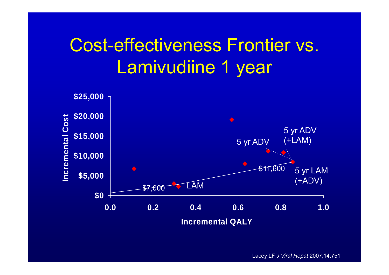### Cost-effectiveness Frontier vs. Lamivudiine 1 year



Lacey LF *J Viral Hepat* 2007;14:751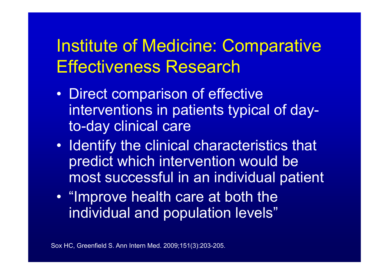### Institute of Medicine: Comparative Effectiveness Research

- $\bullet$  Direct comparison of effective interventions in patients typical of dayto-day clinical care
- $\bullet$ • Identify the clinical characteristics that predict which intervention would be most successful in an individual patient
- $\bullet$ • "Improve health care at both the individual and population levels"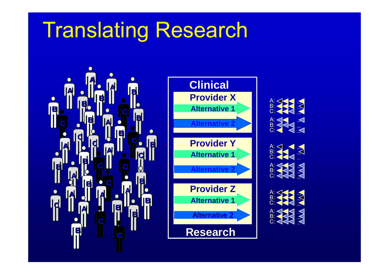# Translating Research









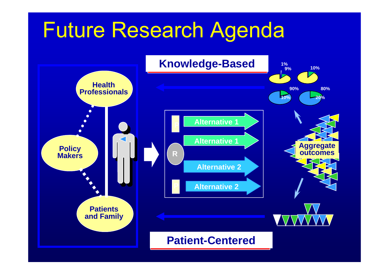# Future Research Agenda